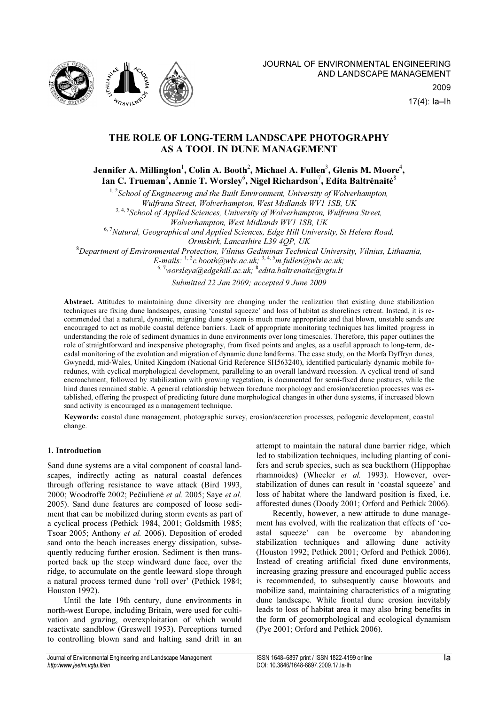

2009

17(4): Ia–Ih

# THE ROLE OF LONG-TERM LANDSCAPE PHOTOGRAPHY AS A TOOL IN DUNE MANAGEMENT

Jennifer A. Millington $^{\rm l}$ , Colin A. Booth $^{\rm 2}$ , Michael A. Fullen $^{\rm 3}$ , Glenis M. Moore $^{\rm 4}$ , Ian C. Trueman $^{\rm 5}$ , Annie T. Worsley $^{\rm 6}$ , Nigel Richardson $^7$ , Edita Baltrėnaitė $^{\rm 8}$ 

 $1, 2$ School of Engineering and the Built Environment, University of Wolverhampton,

Wulfruna Street, Wolverhampton, West Midlands WV1 1SB, UK

3, 4, 5 School of Applied Sciences, University of Wolverhampton, Wulfruna Street,

Wolverhampton, West Midlands WV1 1SB, UK

 $6.7$ Natural, Geographical and Applied Sciences, Edge Hill University, St Helens Road,

Ormskirk, Lancashire L39 4QP, UK

 ${}^{8}$ Department of Environmental Protection, Vilnius Gediminas Technical University, Vilnius, Lithuania, E-mails:  $1, 2c$ .booth@wlv.ac.uk;  $3, 4, 5$ m.fullen@wlv.ac.uk; <sup>6,7</sup>worsleya@edgehill.ac.uk;  ${}^{8}$ edita.baltrenaite@vgtu.lt

Submitted 22 Jan 2009; accepted 9 June 2009

Abstract. Attitudes to maintaining dune diversity are changing under the realization that existing dune stabilization techniques are fixing dune landscapes, causing 'coastal squeeze' and loss of habitat as shorelines retreat. Instead, it is recommended that a natural, dynamic, migrating dune system is much more appropriate and that blown, unstable sands are encouraged to act as mobile coastal defence barriers. Lack of appropriate monitoring techniques has limited progress in understanding the role of sediment dynamics in dune environments over long timescales. Therefore, this paper outlines the role of straightforward and inexpensive photography, from fixed points and angles, as a useful approach to long-term, decadal monitoring of the evolution and migration of dynamic dune landforms. The case study, on the Morfa Dyffryn dunes, Gwynedd, mid-Wales, United Kingdom (National Grid Reference SH563240), identified particularly dynamic mobile foredunes, with cyclical morphological development, paralleling to an overall landward recession. A cyclical trend of sand encroachment, followed by stabilization with growing vegetation, is documented for semi-fixed dune pastures, while the hind dunes remained stable. A general relationship between foredune morphology and erosion/accretion processes was established, offering the prospect of predicting future dune morphological changes in other dune systems, if increased blown sand activity is encouraged as a management technique.

Keywords: coastal dune management, photographic survey, erosion/accretion processes, pedogenic development, coastal change.

## 1. Introduction

Sand dune systems are a vital component of coastal landscapes, indirectly acting as natural coastal defences through offering resistance to wave attack (Bird 1993, 2000; Woodroffe 2002; Pečiulienė et al. 2005; Saye et al. 2005). Sand dune features are composed of loose sediment that can be mobilized during storm events as part of a cyclical process (Pethick 1984, 2001; Goldsmith 1985; Tsoar 2005; Anthony et al. 2006). Deposition of eroded sand onto the beach increases energy dissipation, subsequently reducing further erosion. Sediment is then transported back up the steep windward dune face, over the ridge, to accumulate on the gentle leeward slope through a natural process termed dune 'roll over' (Pethick 1984; Houston 1992).

Until the late 19th century, dune environments in north-west Europe, including Britain, were used for cultivation and grazing, overexploitation of which would reactivate sandblow (Greswell 1953). Perceptions turned to controlling blown sand and halting sand drift in an attempt to maintain the natural dune barrier ridge, which led to stabilization techniques, including planting of conifers and scrub species, such as sea buckthorn (Hippophae rhamnoides) (Wheeler et al. 1993). However, overstabilization of dunes can result in 'coastal squeeze' and loss of habitat where the landward position is fixed, i.e. afforested dunes (Doody 2001; Orford and Pethick 2006).

Recently, however, a new attitude to dune management has evolved, with the realization that effects of 'coastal squeeze' can be overcome by abandoning stabilization techniques and allowing dune activity (Houston 1992; Pethick 2001; Orford and Pethick 2006). Instead of creating artificial fixed dune environments, increasing grazing pressure and encouraged public access is recommended, to subsequently cause blowouts and mobilize sand, maintaining characteristics of a migrating dune landscape. While frontal dune erosion inevitably leads to loss of habitat area it may also bring benefits in the form of geomorphological and ecological dynamism (Pye 2001; Orford and Pethick 2006).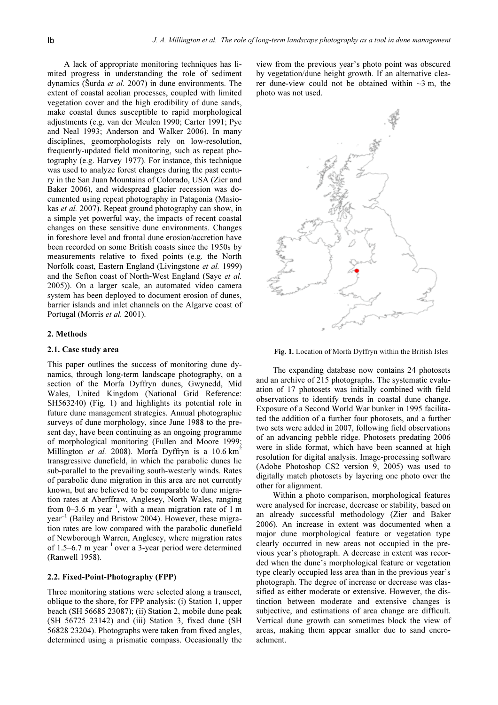A lack of appropriate monitoring techniques has limited progress in understanding the role of sediment dynamics (Šurda et al. 2007) in dune environments. The extent of coastal aeolian processes, coupled with limited vegetation cover and the high erodibility of dune sands, make coastal dunes susceptible to rapid morphological adjustments (e.g. van der Meulen 1990; Carter 1991; Pye and Neal 1993; Anderson and Walker 2006). In many disciplines, geomorphologists rely on low-resolution, frequently-updated field monitoring, such as repeat photography (e.g. Harvey 1977). For instance, this technique was used to analyze forest changes during the past century in the San Juan Mountains of Colorado, USA (Zier and Baker 2006), and widespread glacier recession was documented using repeat photography in Patagonia (Masiokas et al. 2007). Repeat ground photography can show, in a simple yet powerful way, the impacts of recent coastal changes on these sensitive dune environments. Changes in foreshore level and frontal dune erosion/accretion have been recorded on some British coasts since the 1950s by measurements relative to fixed points (e.g. the North Norfolk coast, Eastern England (Livingstone et al. 1999) and the Sefton coast of North-West England (Saye et al. 2005)). On a larger scale, an automated video camera system has been deployed to document erosion of dunes, barrier islands and inlet channels on the Algarve coast of Portugal (Morris et al. 2001).

## 2. Methods

#### 2.1. Case study area

This paper outlines the success of monitoring dune dynamics, through long-term landscape photography, on a section of the Morfa Dyffryn dunes, Gwynedd, Mid Wales, United Kingdom (National Grid Reference: SH563240) (Fig. 1) and highlights its potential role in future dune management strategies. Annual photographic surveys of dune morphology, since June 1988 to the present day, have been continuing as an ongoing programme of morphological monitoring (Fullen and Moore 1999; Millington *et al.* 2008). Morfa Dyffryn is a  $10.6 \text{ km}^2$ transgressive dunefield, in which the parabolic dunes lie sub-parallel to the prevailing south-westerly winds. Rates of parabolic dune migration in this area are not currently known, but are believed to be comparable to dune migration rates at Aberffraw, Anglesey, North Wales, ranging from  $0-3.6$  m year<sup>-1</sup>, with a mean migration rate of 1 m  $year<sup>-1</sup>$  (Bailey and Bristow 2004). However, these migration rates are low compared with the parabolic dunefield of Newborough Warren, Anglesey, where migration rates of 1.5–6.7 m year<sup>-1</sup> over a 3-year period were determined (Ranwell 1958).

## 2.2. Fixed-Point-Photography (FPP)

Three monitoring stations were selected along a transect, oblique to the shore, for FPP analysis: (i) Station 1, upper beach (SH 56685 23087); (ii) Station 2, mobile dune peak (SH 56725 23142) and (iii) Station 3, fixed dune (SH 56828 23204). Photographs were taken from fixed angles, determined using a prismatic compass. Occasionally the view from the previous year's photo point was obscured by vegetation/dune height growth. If an alternative clearer dune-view could not be obtained within  $\sim$ 3 m, the photo was not used.



Fig. 1. Location of Morfa Dyffryn within the British Isles

The expanding database now contains 24 photosets and an archive of 215 photographs. The systematic evaluation of 17 photosets was initially combined with field observations to identify trends in coastal dune change. Exposure of a Second World War bunker in 1995 facilitated the addition of a further four photosets, and a further two sets were added in 2007, following field observations of an advancing pebble ridge. Photosets predating 2006 were in slide format, which have been scanned at high resolution for digital analysis. Image-processing software (Adobe Photoshop CS2 version 9, 2005) was used to digitally match photosets by layering one photo over the other for alignment.

Within a photo comparison, morphological features were analysed for increase, decrease or stability, based on an already successful methodology (Zier and Baker 2006). An increase in extent was documented when a major dune morphological feature or vegetation type clearly occurred in new areas not occupied in the previous year's photograph. A decrease in extent was recorded when the dune's morphological feature or vegetation type clearly occupied less area than in the previous year's photograph. The degree of increase or decrease was classified as either moderate or extensive. However, the distinction between moderate and extensive changes is subjective, and estimations of area change are difficult. Vertical dune growth can sometimes block the view of areas, making them appear smaller due to sand encroachment.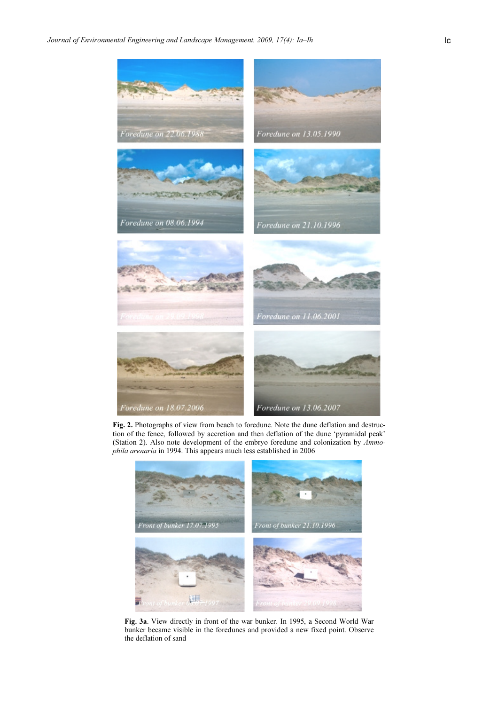

Fig. 2. Photographs of view from beach to foredune. Note the dune deflation and destruction of the fence, followed by accretion and then deflation of the dune 'pyramidal peak' (Station 2). Also note development of the embryo foredune and colonization by Ammophila arenaria in 1994. This appears much less established in 2006



Fig. 3a. View directly in front of the war bunker. In 1995, a Second World War bunker became visible in the foredunes and provided a new fixed point. Observe the deflation of sand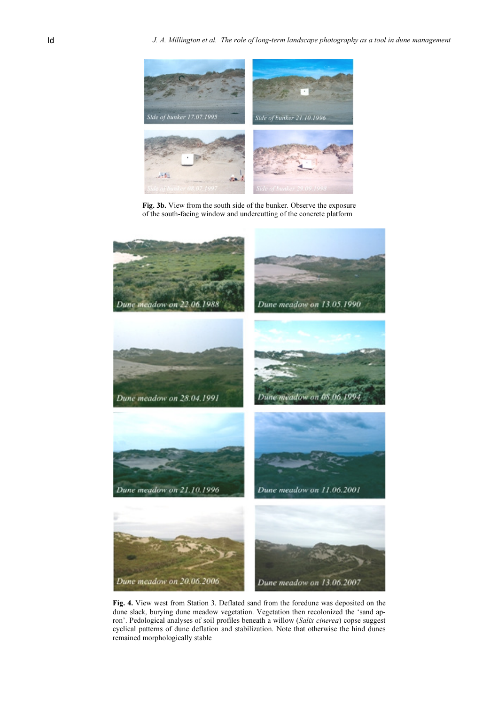Id J. A. Millington et al. The role of long-term landscape photography as a tool in dune management



Fig. 3b. View from the south side of the bunker. Observe the exposure of the south-facing window and undercutting of the concrete platform



Fig. 4. View west from Station 3. Deflated sand from the foredune was deposited on the dune slack, burying dune meadow vegetation. Vegetation then recolonized the 'sand apron'. Pedological analyses of soil profiles beneath a willow (Salix cinerea) copse suggest cyclical patterns of dune deflation and stabilization. Note that otherwise the hind dunes remained morphologically stable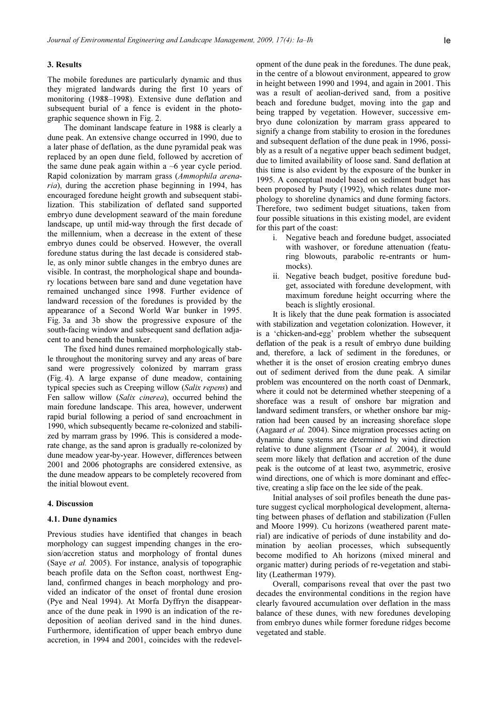#### 3. Results

The mobile foredunes are particularly dynamic and thus they migrated landwards during the first 10 years of monitoring (1988–1998). Extensive dune deflation and subsequent burial of a fence is evident in the photographic sequence shown in Fig. 2.

The dominant landscape feature in 1988 is clearly a dune peak. An extensive change occurred in 1990, due to a later phase of deflation, as the dune pyramidal peak was replaced by an open dune field, followed by accretion of the same dune peak again within a  $\sim$ 6 year cycle period. Rapid colonization by marram grass (Ammophila arenaria), during the accretion phase beginning in 1994, has encouraged foredune height growth and subsequent stabilization. This stabilization of deflated sand supported embryo dune development seaward of the main foredune landscape, up until mid-way through the first decade of the millennium, when a decrease in the extent of these embryo dunes could be observed. However, the overall foredune status during the last decade is considered stable, as only minor subtle changes in the embryo dunes are visible. In contrast, the morphological shape and boundary locations between bare sand and dune vegetation have remained unchanged since 1998. Further evidence of landward recession of the foredunes is provided by the appearance of a Second World War bunker in 1995. Fig. 3a and 3b show the progressive exposure of the south-facing window and subsequent sand deflation adjacent to and beneath the bunker.

The fixed hind dunes remained morphologically stable throughout the monitoring survey and any areas of bare sand were progressively colonized by marram grass (Fig. 4). A large expanse of dune meadow, containing typical species such as Creeping willow (Salix repens) and Fen sallow willow (Salix cinerea), occurred behind the main foredune landscape. This area, however, underwent rapid burial following a period of sand encroachment in 1990, which subsequently became re-colonized and stabilized by marram grass by 1996. This is considered a moderate change, as the sand apron is gradually re-colonized by dune meadow year-by-year. However, differences between 2001 and 2006 photographs are considered extensive, as the dune meadow appears to be completely recovered from the initial blowout event.

## 4. Discussion

## 4.1. Dune dynamics

Previous studies have identified that changes in beach morphology can suggest impending changes in the erosion/accretion status and morphology of frontal dunes (Saye et al. 2005). For instance, analysis of topographic beach profile data on the Sefton coast, northwest England, confirmed changes in beach morphology and provided an indicator of the onset of frontal dune erosion (Pye and Neal 1994). At Morfa Dyffryn the disappearance of the dune peak in 1990 is an indication of the redeposition of aeolian derived sand in the hind dunes. Furthermore, identification of upper beach embryo dune accretion, in 1994 and 2001, coincides with the redevelopment of the dune peak in the foredunes. The dune peak, in the centre of a blowout environment, appeared to grow in height between 1990 and 1994, and again in 2001. This was a result of aeolian-derived sand, from a positive beach and foredune budget, moving into the gap and being trapped by vegetation. However, successive embryo dune colonization by marram grass appeared to signify a change from stability to erosion in the foredunes and subsequent deflation of the dune peak in 1996, possibly as a result of a negative upper beach sediment budget, due to limited availability of loose sand. Sand deflation at this time is also evident by the exposure of the bunker in 1995. A conceptual model based on sediment budget has been proposed by Psuty (1992), which relates dune morphology to shoreline dynamics and dune forming factors. Therefore, two sediment budget situations, taken from four possible situations in this existing model, are evident for this part of the coast:

- i. Negative beach and foredune budget, associated with washover, or foredune attenuation (featuring blowouts, parabolic re-entrants or hummocks).
- ii. Negative beach budget, positive foredune budget, associated with foredune development, with maximum foredune height occurring where the beach is slightly erosional.

It is likely that the dune peak formation is associated with stabilization and vegetation colonization. However, it is a 'chicken-and-egg' problem whether the subsequent deflation of the peak is a result of embryo dune building and, therefore, a lack of sediment in the foredunes, or whether it is the onset of erosion creating embryo dunes out of sediment derived from the dune peak. A similar problem was encountered on the north coast of Denmark, where it could not be determined whether steepening of a shoreface was a result of onshore bar migration and landward sediment transfers, or whether onshore bar migration had been caused by an increasing shoreface slope (Aagaard et al. 2004). Since migration processes acting on dynamic dune systems are determined by wind direction relative to dune alignment (Tsoar et al. 2004), it would seem more likely that deflation and accretion of the dune peak is the outcome of at least two, asymmetric, erosive wind directions, one of which is more dominant and effective, creating a slip face on the lee side of the peak.

Initial analyses of soil profiles beneath the dune pasture suggest cyclical morphological development, alternating between phases of deflation and stabilization (Fullen and Moore 1999). Cu horizons (weathered parent material) are indicative of periods of dune instability and domination by aeolian processes, which subsequently become modified to Ah horizons (mixed mineral and organic matter) during periods of re-vegetation and stability (Leatherman 1979).

Overall, comparisons reveal that over the past two decades the environmental conditions in the region have clearly favoured accumulation over deflation in the mass balance of these dunes, with new foredunes developing from embryo dunes while former foredune ridges become vegetated and stable.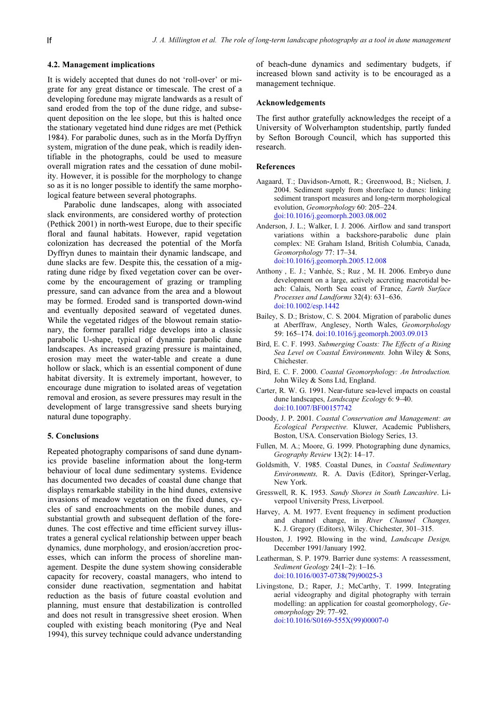## 4.2. Management implications

It is widely accepted that dunes do not 'roll-over' or migrate for any great distance or timescale. The crest of a developing foredune may migrate landwards as a result of sand eroded from the top of the dune ridge, and subsequent deposition on the lee slope, but this is halted once the stationary vegetated hind dune ridges are met (Pethick 1984). For parabolic dunes, such as in the Morfa Dyffryn system, migration of the dune peak, which is readily identifiable in the photographs, could be used to measure overall migration rates and the cessation of dune mobility. However, it is possible for the morphology to change so as it is no longer possible to identify the same morphological feature between several photographs.

Parabolic dune landscapes, along with associated slack environments, are considered worthy of protection (Pethick 2001) in north-west Europe, due to their specific floral and faunal habitats. However, rapid vegetation colonization has decreased the potential of the Morfa Dyffryn dunes to maintain their dynamic landscape, and dune slacks are few. Despite this, the cessation of a migrating dune ridge by fixed vegetation cover can be overcome by the encouragement of grazing or trampling pressure, sand can advance from the area and a blowout may be formed. Eroded sand is transported down-wind and eventually deposited seaward of vegetated dunes. While the vegetated ridges of the blowout remain stationary, the former parallel ridge develops into a classic parabolic U-shape, typical of dynamic parabolic dune landscapes. As increased grazing pressure is maintained, erosion may meet the water-table and create a dune hollow or slack, which is an essential component of dune habitat diversity. It is extremely important, however, to encourage dune migration to isolated areas of vegetation removal and erosion, as severe pressures may result in the development of large transgressive sand sheets burying natural dune topography.

#### 5. Conclusions

Repeated photography comparisons of sand dune dynamics provide baseline information about the long-term behaviour of local dune sedimentary systems. Evidence has documented two decades of coastal dune change that displays remarkable stability in the hind dunes, extensive invasions of meadow vegetation on the fixed dunes, cycles of sand encroachments on the mobile dunes, and substantial growth and subsequent deflation of the foredunes. The cost effective and time efficient survey illustrates a general cyclical relationship between upper beach dynamics, dune morphology, and erosion/accretion processes, which can inform the process of shoreline management. Despite the dune system showing considerable capacity for recovery, coastal managers, who intend to consider dune reactivation, segmentation and habitat reduction as the basis of future coastal evolution and planning, must ensure that destabilization is controlled and does not result in transgressive sheet erosion. When coupled with existing beach monitoring (Pye and Neal 1994), this survey technique could advance understanding

of beach-dune dynamics and sedimentary budgets, if increased blown sand activity is to be encouraged as a management technique.

#### Acknowledgements

The first author gratefully acknowledges the receipt of a University of Wolverhampton studentship, partly funded by Sefton Borough Council, which has supported this research.

## References

- Aagaard, T.; Davidson-Arnott, R.; Greenwood, B.; Nielsen, J. 2004. Sediment supply from shoreface to dunes: linking sediment transport measures and long-term morphological evolution, Geomorphology 60: 205–224. [doi:10.1016/j.geomorph.2003.08.002](http://dx.doi.org/10.1016/j.geomorph.2003.08.002)
- Anderson, J. L.; Walker, I. J. 2006. Airflow and sand transport variations within a backshore-parabolic dune plain complex: NE Graham Island, British Columbia, Canada, Geomorphology 77: 17–34. [doi:10.1016/j.geomorph.2005.12.008](http://dx.doi.org/10.1016/j.geomorph.2005.12.008)
- Anthony , E. J.; Vanhée, S.; Ruz , M. H. 2006. Embryo dune development on a large, actively accreting macrotidal beach: Calais, North Sea coast of France, Earth Surface Processes and Landforms 32(4): 631–636. [doi:10.1002/esp.1442](http://dx.doi.org/10.1002/esp.1442)
- Bailey, S. D.; Bristow, C. S. 2004. Migration of parabolic dunes at Aberffraw, Anglesey, North Wales, Geomorphology 59: 165–174. [doi:10.1016/j.geomorph.2003.09.013](http://dx.doi.org/10.1016/j.geomorph.2003.09.013)
- Bird, E. C. F. 1993. Submerging Coasts: The Effects of a Rising Sea Level on Coastal Environments. John Wiley & Sons, Chichester.
- Bird, E. C. F. 2000. Coastal Geomorphology: An Introduction. John Wiley & Sons Ltd, England.
- Carter, R. W. G. 1991. Near-future sea-level impacts on coastal dune landscapes, *Landscape Ecology* 6: 9–40. [doi:10.1007/BF00157742](http://dx.doi.org/10.1007/BF00157742)
- Doody, J. P. 2001. Coastal Conservation and Management: an Ecological Perspective. Kluwer, Academic Publishers, Boston, USA. Conservation Biology Series, 13.
- Fullen, M. A.; Moore, G. 1999. Photographing dune dynamics, Geography Review 13(2): 14–17.
- Goldsmith, V. 1985. Coastal Dunes, in Coastal Sedimentary Environments, R. A. Davis (Editor), Springer-Verlag, New York.
- Gresswell, R. K. 1953. Sandy Shores in South Lancashire. Liverpool University Press, Liverpool.
- Harvey, A. M. 1977. Event frequency in sediment production and channel change, in River Channel Changes, K. J. Gregory (Editors), Wiley. Chichester, 301–315.
- Houston, J. 1992. Blowing in the wind, Landscape Design, December 1991/January 1992.
- Leatherman, S. P. 1979. Barrier dune systems: A reassessment, Sediment Geology 24(1–2): 1–16. [doi:10.1016/0037-0738\(79\)90025-3](http://dx.doi.org/10.1016/0037-0738(79)90025-3)
- Livingstone, D.; Raper, J.; McCarthy, T. 1999. Integrating aerial videography and digital photography with terrain modelling: an application for coastal geomorphology, Geomorphology 29: 77–92. [doi:10.1016/S0169-555X\(99\)00007-0](http://dx.doi.org/10.1016/S0169-555X(99)00007-0)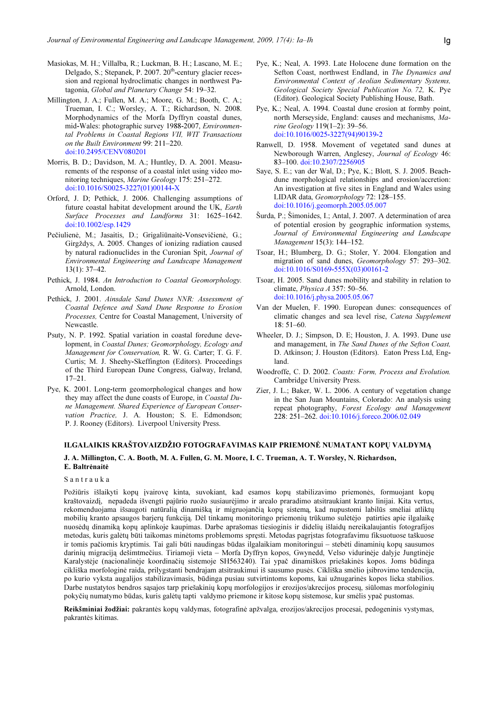- Masiokas, M. H.; Villalba, R.; Luckman, B. H.; Lascano, M. E.; Delgado, S.; Stepanek, P. 2007. 20<sup>th</sup>-century glacier recession and regional hydroclimatic changes in northwest Patagonia, Global and Planetary Change 54: 19–32.
- Millington, J. A.; Fullen, M. A.; Moore, G. M.; Booth, C. A.; Trueman, I. C.; Worsley, A. T.; Richardson, N. 2008. Morphodynamics of the Morfa Dyffryn coastal dunes, mid-Wales: photographic survey 1988-2007, Environmental Problems in Coastal Regions VII, WIT Transactions on the Built Environment 99: 211–220. [doi:10.2495/CENV080201](http://dx.doi.org/10.2495/CENV080201)
- Morris, B. D.; Davidson, M. A.; Huntley, D. A. 2001. Measurements of the response of a coastal inlet using video monitoring techniques, Marine Geology 175: 251–272. [doi:10.1016/S0025-3227\(01\)00144-X](http://dx.doi.org/10.1016/S0025-3227(01)00144-X)
- Orford, J. D; Pethick, J. 2006. Challenging assumptions of future coastal habitat development around the UK, Earth Surface Processes and Landforms 31: 1625–1642. [doi:10.1002/esp.1429](http://dx.doi.org/10.1002/esp.1429)
- Pečiulienė, M.; Jasaitis, D.; Grigaliūnaitė-Vonsevičienė, G.; Girgždys, A. 2005. Changes of ionizing radiation caused by natural radionuclides in the Curonian Spit, Journal of Environmental Engineering and Landscape Management 13(1): 37–42.
- Pethick, J. 1984. An Introduction to Coastal Geomorphology. Arnold, London.
- Pethick, J. 2001. Ainsdale Sand Dunes NNR: Assessment of Coastal Defence and Sand Dune Response to Erosion Processes, Centre for Coastal Management, University of Newcastle.
- Psuty, N. P. 1992. Spatial variation in coastal foredune development, in Coastal Dunes; Geomorphology, Ecology and Management for Conservation, R. W. G. Carter; T. G. F. Curtis; M. J. Sheehy-Skeffington (Editors). Proceedings of the Third European Dune Congress, Galway, Ireland, 17–21.
- Pye, K. 2001. Long-term geomorphological changes and how they may affect the dune coasts of Europe, in Coastal Dune Management. Shared Experience of European Conservation Practice, J. A. Houston; S. E. Edmondson; P. J. Rooney (Editors). Liverpool University Press.
- Pye, K.; Neal, A. 1993. Late Holocene dune formation on the Sefton Coast, northwest Endland, in The Dynamics and Environmental Context of Aeolian Sedimentary Systems, Geological Society Special Publication No. 72, K. Pye (Editor). Geological Society Publishing House, Bath.
- Pye, K.; Neal, A. 1994. Coastal dune erosion at formby point, north Merseyside, England: causes and mechanisms, Marine Geology 119(1–2): 39–56. [doi:10.1016/0025-3227\(94\)90139-2](http://dx.doi.org/10.1016/0025-3227(94)90139-2)
- Ranwell, D. 1958. Movement of vegetated sand dunes at Newborough Warren, Anglesey, Journal of Ecology 46: 83–100. [doi:10.2307/2256905](http://dx.doi.org/10.2307/2256905)
- Saye, S. E.; van der Wal, D.; Pye, K.; Blott, S. J. 2005. Beachdune morphological relationships and erosion/accretion: An investigation at five sites in England and Wales using LIDAR data, Geomorphology 72: 128–155. [doi:10.1016/j.geomorph.2005.05.007](http://dx.doi.org/10.1016/j.geomorph.2005.05.007)
- Šurda, P.; Šimonides, I.; Antal, J. 2007. A determination of area of potential erosion by geographic information systems, Journal of Environmental Engineering and Landscape Management 15(3): 144–152.
- Tsoar, H.; Blumberg, D. G.; Stoler, Y. 2004. Elongation and migration of sand dunes, Geomorphology 57: 293–302. [doi:10.1016/S0169-555X\(03\)00161-2](http://dx.doi.org/10.1016/S0169-555X(03)00161-2)
- Tsoar, H. 2005. Sand dunes mobility and stability in relation to climate, Physica A 357: 50–56. [doi:10.1016/j.physa.2005.05.067](http://dx.doi.org/10.1016/j.physa.2005.05.067)
- Van der Muelen, F. 1990. European dunes: consequences of climatic changes and sea level rise, Catena Supplement 18: 51–60.
- Wheeler, D. J.; Simpson, D. E; Houston, J. A. 1993. Dune use and management, in The Sand Dunes of the Sefton Coast, D. Atkinson; J. Houston (Editors). Eaton Press Ltd, England.
- Woodroffe, C. D. 2002. Coasts: Form, Process and Evolution. Cambridge University Press.
- Zier, J. L.; Baker, W. L. 2006. A century of vegetation change in the San Juan Mountains, Colorado: An analysis using repeat photography, Forest Ecology and Management 228: 251–262. [doi:10.1016/j.foreco.2006.02.049](http://dx.doi.org/10.1016/j.foreco.2006.02.049)

## ILGALAIKIS KRAŠTOVAIZDŽIO FOTOGRAFAVIMAS KAIP PRIEMONĖ NUMATANT KOPŲ VALDYMĄ

#### J. A. Millington, C. A. Booth, M. A. Fullen, G. M. Moore, I. C. Trueman, A. T. Worsley, N. Richardson, E. Baltrėnaitė

#### S a n t r a u k a

Požiūris išlaikyti kopų įvairovę kinta, suvokiant, kad esamos kopų stabilizavimo priemonės, formuojant kopų kraštovaizdį, nepadeda išvengti pajūrio ruožo susiaurėjimo ir arealo praradimo atsitraukiant kranto linijai. Kita vertus, rekomenduojama išsaugoti natūralią dinamišką ir migruojančią kopų sistemą, kad nupustomi labilūs smėliai atliktų mobilių kranto apsaugos barjerų funkciją. Dėl tinkamų monitoringo priemonių trūkumo sulėtėjo patirties apie ilgalaikę nuosėdų dinamiką kopų aplinkoje kaupimas. Darbe aprašomas tiesioginis ir didelių išlaidų nereikalaujantis fotografijos metodas, kuris galėtų būti taikomas minėtoms problemoms spręsti. Metodas pagrįstas fotografavimu fiksuotuose taškuose ir tomis pačiomis kryptimis. Tai gali būti naudingas būdas ilgalaikiam monitoringui – stebėti dinaminių kopų sausumos darinių migraciją dešimtmečius. Tiriamoji vieta – Morfa Dyffryn kopos, Gwynedd, Velso vidurinėje dalyje Jungtinėje Karalystėje (nacionalinėje koordinačių sistemoje SH563240). Tai ypač dinamiškos priešakinės kopos. Joms būdinga cikliška morfologinė raida, prilygstanti bendrajam atsitraukimui iš sausumo pusės. Cikliška smėlio įsibrovimo tendencija, po kurio vyksta augalijos stabilizavimasis, būdinga pusiau sutvirtintoms kopoms, kai užnugarinės kopos lieka stabilios. Darbe nustatytos bendros sąsajos tarp priešakinių kopų morfologijos ir erozijos/akrecijos procesų, siūlomas morfologinių pokyčių numatymo būdas, kuris galėtų tapti valdymo priemone ir kitose kopų sistemose, kur smėlis ypač pustomas.

Reikšminiai žodžiai: pakrantės kopų valdymas, fotografinė apžvalga, erozijos/akrecijos procesai, pedogeninis vystymas, pakrantės kitimas.